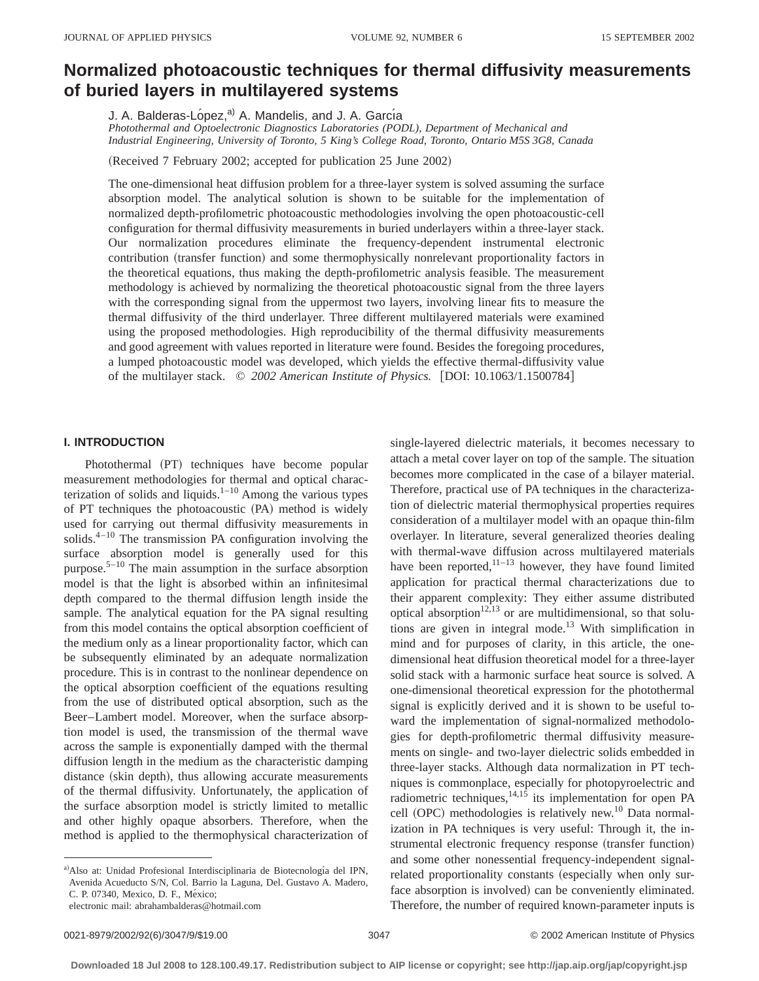# **Normalized photoacoustic techniques for thermal diffusivity measurements of buried layers in multilayered systems**

J. A. Balderas-López,<sup>a)</sup> A. Mandelis, and J. A. García

*Photothermal and Optoelectronic Diagnostics Laboratories (PODL), Department of Mechanical and Industrial Engineering, University of Toronto, 5 King's College Road, Toronto, Ontario M5S 3G8, Canada*

(Received 7 February 2002; accepted for publication 25 June 2002)

The one-dimensional heat diffusion problem for a three-layer system is solved assuming the surface absorption model. The analytical solution is shown to be suitable for the implementation of normalized depth-profilometric photoacoustic methodologies involving the open photoacoustic-cell configuration for thermal diffusivity measurements in buried underlayers within a three-layer stack. Our normalization procedures eliminate the frequency-dependent instrumental electronic contribution (transfer function) and some thermophysically nonrelevant proportionality factors in the theoretical equations, thus making the depth-profilometric analysis feasible. The measurement methodology is achieved by normalizing the theoretical photoacoustic signal from the three layers with the corresponding signal from the uppermost two layers, involving linear fits to measure the thermal diffusivity of the third underlayer. Three different multilayered materials were examined using the proposed methodologies. High reproducibility of the thermal diffusivity measurements and good agreement with values reported in literature were found. Besides the foregoing procedures, a lumped photoacoustic model was developed, which yields the effective thermal-diffusivity value of the multilayer stack. © 2002 American Institute of Physics. [DOI: 10.1063/1.1500784]

# **I. INTRODUCTION**

Photothermal (PT) techniques have become popular measurement methodologies for thermal and optical characterization of solids and liquids. $1-10$  Among the various types of PT techniques the photoacoustic (PA) method is widely used for carrying out thermal diffusivity measurements in solids. $4-10$  The transmission PA configuration involving the surface absorption model is generally used for this purpose.5–10 The main assumption in the surface absorption model is that the light is absorbed within an infinitesimal depth compared to the thermal diffusion length inside the sample. The analytical equation for the PA signal resulting from this model contains the optical absorption coefficient of the medium only as a linear proportionality factor, which can be subsequently eliminated by an adequate normalization procedure. This is in contrast to the nonlinear dependence on the optical absorption coefficient of the equations resulting from the use of distributed optical absorption, such as the Beer–Lambert model. Moreover, when the surface absorption model is used, the transmission of the thermal wave across the sample is exponentially damped with the thermal diffusion length in the medium as the characteristic damping distance (skin depth), thus allowing accurate measurements of the thermal diffusivity. Unfortunately, the application of the surface absorption model is strictly limited to metallic and other highly opaque absorbers. Therefore, when the method is applied to the thermophysical characterization of

single-layered dielectric materials, it becomes necessary to attach a metal cover layer on top of the sample. The situation becomes more complicated in the case of a bilayer material. Therefore, practical use of PA techniques in the characterization of dielectric material thermophysical properties requires consideration of a multilayer model with an opaque thin-film overlayer. In literature, several generalized theories dealing with thermal-wave diffusion across multilayered materials have been reported, $11-13$  however, they have found limited application for practical thermal characterizations due to their apparent complexity: They either assume distributed optical absorption<sup>12,13</sup> or are multidimensional, so that solutions are given in integral mode.13 With simplification in mind and for purposes of clarity, in this article, the onedimensional heat diffusion theoretical model for a three-layer solid stack with a harmonic surface heat source is solved. A one-dimensional theoretical expression for the photothermal signal is explicitly derived and it is shown to be useful toward the implementation of signal-normalized methodologies for depth-profilometric thermal diffusivity measurements on single- and two-layer dielectric solids embedded in three-layer stacks. Although data normalization in PT techniques is commonplace, especially for photopyroelectric and radiometric techniques,  $14,15$  its implementation for open PA cell (OPC) methodologies is relatively new.<sup>10</sup> Data normalization in PA techniques is very useful: Through it, the instrumental electronic frequency response (transfer function) and some other nonessential frequency-independent signalrelated proportionality constants (especially when only surface absorption is involved) can be conveniently eliminated. Therefore, the number of required known-parameter inputs is

a) Also at: Unidad Profesional Interdisciplinaria de Biotecnología del IPN, Avenida Acueducto S/N, Col. Barrio la Laguna, Del. Gustavo A. Madero, C. P. 07340, Mexico, D. F., México;

electronic mail: abrahambalderas@hotmail.com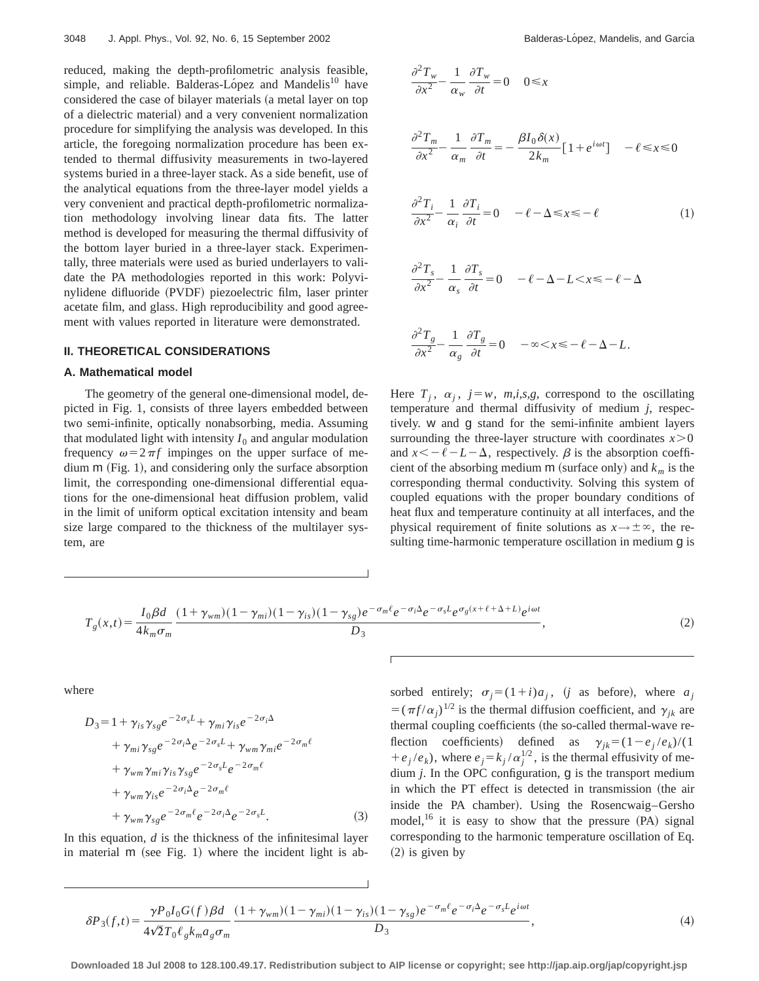reduced, making the depth-profilometric analysis feasible, simple, and reliable. Balderas-López and Mandelis<sup>10</sup> have considered the case of bilayer materials (a metal layer on top of a dielectric material) and a very convenient normalization procedure for simplifying the analysis was developed. In this article, the foregoing normalization procedure has been extended to thermal diffusivity measurements in two-layered systems buried in a three-layer stack. As a side benefit, use of the analytical equations from the three-layer model yields a very convenient and practical depth-profilometric normalization methodology involving linear data fits. The latter method is developed for measuring the thermal diffusivity of the bottom layer buried in a three-layer stack. Experimentally, three materials were used as buried underlayers to validate the PA methodologies reported in this work: Polyvinylidene difluoride (PVDF) piezoelectric film, laser printer acetate film, and glass. High reproducibility and good agreement with values reported in literature were demonstrated.

## **II. THEORETICAL CONSIDERATIONS**

#### **A. Mathematical model**

The geometry of the general one-dimensional model, depicted in Fig. 1, consists of three layers embedded between two semi-infinite, optically nonabsorbing, media. Assuming that modulated light with intensity  $I_0$  and angular modulation frequency  $\omega = 2 \pi f$  impinges on the upper surface of medium  $m$  (Fig. 1), and considering only the surface absorption limit, the corresponding one-dimensional differential equations for the one-dimensional heat diffusion problem, valid in the limit of uniform optical excitation intensity and beam size large compared to the thickness of the multilayer system, are

$$
\frac{\partial^2 T_w}{\partial x^2} - \frac{1}{\alpha_w} \frac{\partial T_w}{\partial t} = 0 \quad 0 \le x
$$
  

$$
\frac{\partial^2 T_m}{\partial x^2} - \frac{1}{\alpha_m} \frac{\partial T_m}{\partial t} = -\frac{\beta I_0 \delta(x)}{2k_m} [1 + e^{i\omega t}] \quad -\ell \le x \le 0
$$
  

$$
\frac{\partial^2 T_i}{\partial x^2} - \frac{1}{\alpha_i} \frac{\partial T_i}{\partial t} = 0 \quad -\ell - \Delta \le x \le -\ell \qquad (1)
$$
  

$$
\frac{\partial^2 T_s}{\partial x^2} - \frac{1}{\alpha_s} \frac{\partial T_s}{\partial t} = 0 \quad -\ell - \Delta - L < x \le -\ell - \Delta
$$
  

$$
\frac{\partial^2 T_s}{\partial x^2} - \frac{1}{\alpha_s} \frac{\partial T_s}{\partial t} = 0 \quad -\infty < x \le -\ell - \Delta - L.
$$

Here  $T_i$ ,  $\alpha_i$ ,  $j=w$ ,  $m,i,s,g$ , correspond to the oscillating temperature and thermal diffusivity of medium *j*, respectively. w and g stand for the semi-infinite ambient layers surrounding the three-layer structure with coordinates  $x > 0$ and  $x \leq -\ell - L - \Delta$ , respectively.  $\beta$  is the absorption coefficient of the absorbing medium  $m$  (surface only) and  $k_m$  is the corresponding thermal conductivity. Solving this system of coupled equations with the proper boundary conditions of heat flux and temperature continuity at all interfaces, and the physical requirement of finite solutions as  $x \rightarrow \pm \infty$ , the resulting time-harmonic temperature oscillation in medium g is

$$
T_g(x,t) = \frac{I_0 \beta d}{4k_m \sigma_m} \frac{(1+\gamma_{wm})(1-\gamma_{mi})(1-\gamma_{is})(1-\gamma_{sg})e^{-\sigma_m \ell}e^{-\sigma_i \Delta}e^{-\sigma_s L}e^{\sigma_g(x+\ell+\Delta+L)}e^{i\omega t}}{D_3},\tag{2}
$$

where

$$
D_3 = 1 + \gamma_{is} \gamma_{sg} e^{-2\sigma_s L} + \gamma_{mi} \gamma_{is} e^{-2\sigma_i \Delta}
$$
  
+  $\gamma_{mi} \gamma_{sg} e^{-2\sigma_i \Delta} e^{-2\sigma_s L} + \gamma_{wm} \gamma_{mi} e^{-2\sigma_m \ell}$   
+  $\gamma_{wm} \gamma_{mi} \gamma_{is} \gamma_{sg} e^{-2\sigma_s L} e^{-2\sigma_m \ell}$   
+  $\gamma_{wm} \gamma_{is} e^{-2\sigma_i \Delta} e^{-2\sigma_m \ell}$   
+  $\gamma_{wm} \gamma_{sg} e^{-2\sigma_m \ell} e^{-2\sigma_i \Delta} e^{-2\sigma_s L}.$  (3)

In this equation, *d* is the thickness of the infinitesimal layer in material  $m$  (see Fig. 1) where the incident light is absorbed entirely;  $\sigma_j = (1+i)a_j$ , *(j* as before), where  $a_j$  $= (\pi f / \alpha_i)^{1/2}$  is the thermal diffusion coefficient, and  $\gamma_{ik}$  are thermal coupling coefficients (the so-called thermal-wave reflection coefficients) defined as  $\gamma_{jk} = (1 - e_j / e_k) / (1$  $+e_j/e_k$ ), where  $e_j = k_j/\alpha_j^{1/2}$ , is the thermal effusivity of medium *j*. In the OPC configuration, g is the transport medium in which the PT effect is detected in transmission (the air inside the PA chamber). Using the Rosencwaig–Gersho model,<sup>16</sup> it is easy to show that the pressure  $(PA)$  signal corresponding to the harmonic temperature oscillation of Eq.  $(2)$  is given by

$$
\delta P_3(f,t) = \frac{\gamma P_0 I_0 G(f) \beta d}{4\sqrt{2}T_0 \ell_g k_m a_g \sigma_m} \frac{(1 + \gamma_{wm})(1 - \gamma_{mi})(1 - \gamma_{is})(1 - \gamma_{sg})e^{-\sigma_m \ell}e^{-\sigma_i \Delta}e^{-\sigma_s L}e^{i\omega t}}{D_3},\tag{4}
$$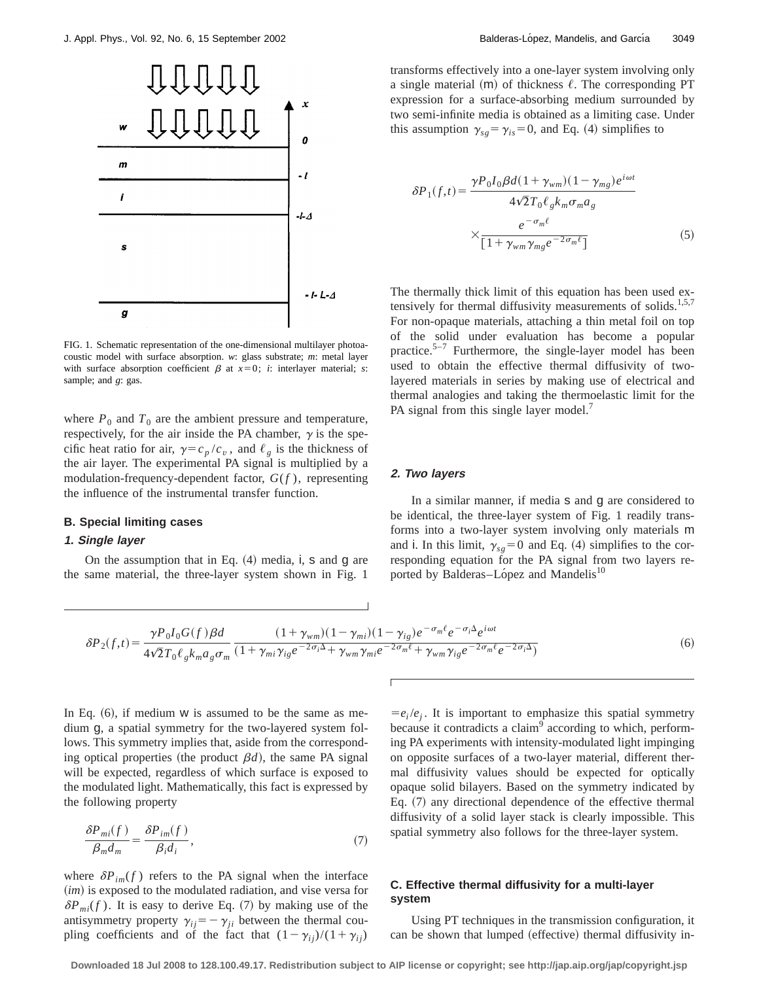

FIG. 1. Schematic representation of the one-dimensional multilayer photoacoustic model with surface absorption. *w*: glass substrate; *m*: metal layer with surface absorption coefficient  $\beta$  at  $x=0$ ; *i*: interlayer material; *s*: sample; and *g*: gas.

where  $P_0$  and  $T_0$  are the ambient pressure and temperature, respectively, for the air inside the PA chamber,  $\gamma$  is the specific heat ratio for air,  $\gamma = c_p / c_v$ , and  $\ell_g$  is the thickness of the air layer. The experimental PA signal is multiplied by a modulation-frequency-dependent factor, *G*(*f* ), representing the influence of the instrumental transfer function.

#### **B. Special limiting cases**

## **1. Single layer**

On the assumption that in Eq.  $(4)$  media, i, s and g are the same material, the three-layer system shown in Fig. 1 transforms effectively into a one-layer system involving only a single material  $(m)$  of thickness  $\ell$ . The corresponding PT expression for a surface-absorbing medium surrounded by two semi-infinite media is obtained as a limiting case. Under this assumption  $\gamma_{sg} = \gamma_{is} = 0$ , and Eq. (4) simplifies to

$$
\delta P_1(f,t) = \frac{\gamma P_0 I_0 \beta d (1 + \gamma_{wm})(1 - \gamma_{mg}) e^{i\omega t}}{4\sqrt{2}T_0 \ell_g k_m \sigma_m a_g}
$$

$$
\times \frac{e^{-\sigma_m \ell}}{[1 + \gamma_{wm} \gamma_{mg} e^{-2\sigma_m \ell}]}
$$
(5)

The thermally thick limit of this equation has been used extensively for thermal diffusivity measurements of solids.<sup>1,5,7</sup> For non-opaque materials, attaching a thin metal foil on top of the solid under evaluation has become a popular practice. $5-7$  Furthermore, the single-layer model has been used to obtain the effective thermal diffusivity of twolayered materials in series by making use of electrical and thermal analogies and taking the thermoelastic limit for the PA signal from this single layer model.<sup>7</sup>

#### **2. Two layers**

In a similar manner, if media s and g are considered to be identical, the three-layer system of Fig. 1 readily transforms into a two-layer system involving only materials m and i. In this limit,  $\gamma_{sg}=0$  and Eq. (4) simplifies to the corresponding equation for the PA signal from two layers reported by Balderas–López and Mandelis<sup>10</sup>

$$
\delta P_2(f,t) = \frac{\gamma P_0 I_0 G(f) \beta d}{4\sqrt{2}T_0 \ell_g k_m a_g \sigma_m} \frac{(1 + \gamma_{wm})(1 - \gamma_{mi})(1 - \gamma_{ig})e^{-\sigma_m \ell} e^{-\sigma_i \Delta} e^{i\omega t}}{(1 + \gamma_{mi}\gamma_{ig}e^{-2\sigma_i \Delta} + \gamma_{wm}\gamma_{mi}e^{-2\sigma_m \ell} + \gamma_{wm}\gamma_{ig}e^{-2\sigma_m \ell} e^{-2\sigma_i \Delta})}
$$
(6)

In Eq.  $(6)$ , if medium w is assumed to be the same as medium g, a spatial symmetry for the two-layered system follows. This symmetry implies that, aside from the corresponding optical properties (the product  $\beta d$ ), the same PA signal will be expected, regardless of which surface is exposed to the modulated light. Mathematically, this fact is expressed by the following property

$$
\frac{\delta P_{mi}(f)}{\beta_m d_m} = \frac{\delta P_{im}(f)}{\beta_i d_i},\tag{7}
$$

where  $\delta P_{im}(f)$  refers to the PA signal when the interface (*im*) is exposed to the modulated radiation, and vise versa for  $\delta P_{mi}(f)$ . It is easy to derive Eq. (7) by making use of the antisymmetry property  $\gamma_{ij} = -\gamma_{ji}$  between the thermal coupling coefficients and of the fact that  $(1-\gamma_{ij})/(1+\gamma_{ij})$ 

 $=e_i/e_i$ . It is important to emphasize this spatial symmetry because it contradicts a claim<sup>9</sup> according to which, performing PA experiments with intensity-modulated light impinging on opposite surfaces of a two-layer material, different thermal diffusivity values should be expected for optically opaque solid bilayers. Based on the symmetry indicated by Eq.  $(7)$  any directional dependence of the effective thermal diffusivity of a solid layer stack is clearly impossible. This spatial symmetry also follows for the three-layer system.

# **C. Effective thermal diffusivity for a multi-layer system**

Using PT techniques in the transmission configuration, it can be shown that lumped (effective) thermal diffusivity in-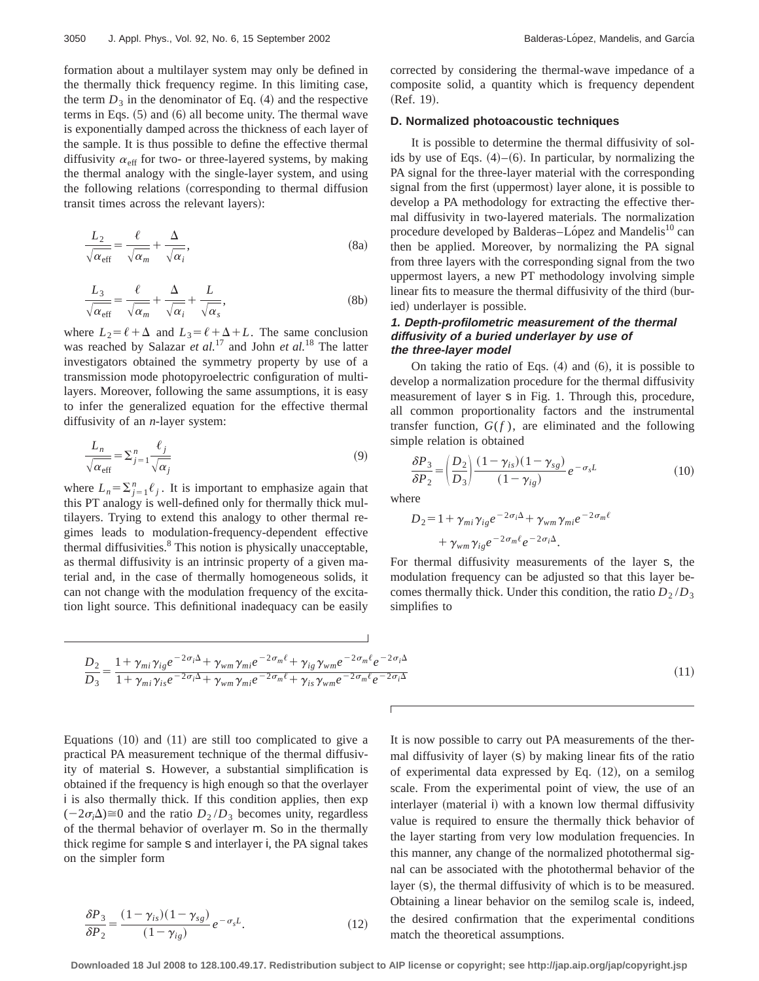formation about a multilayer system may only be defined in the thermally thick frequency regime. In this limiting case, the term  $D_3$  in the denominator of Eq.  $(4)$  and the respective terms in Eqs.  $(5)$  and  $(6)$  all become unity. The thermal wave is exponentially damped across the thickness of each layer of the sample. It is thus possible to define the effective thermal diffusivity  $\alpha_{\text{eff}}$  for two- or three-layered systems, by making the thermal analogy with the single-layer system, and using the following relations (corresponding to thermal diffusion transit times across the relevant layers):

$$
\frac{L_2}{\sqrt{\alpha_{\text{eff}}}} = \frac{\ell}{\sqrt{\alpha_m}} + \frac{\Delta}{\sqrt{\alpha_i}},
$$
\n(8a)

$$
\frac{L_3}{\sqrt{\alpha_{\rm eff}}} = \frac{\ell}{\sqrt{\alpha_m}} + \frac{\Delta}{\sqrt{\alpha_i}} + \frac{L}{\sqrt{\alpha_s}},
$$
(8b)

where  $L_2 = \ell + \Delta$  and  $L_3 = \ell + \Delta + L$ . The same conclusion was reached by Salazar *et al.*<sup>17</sup> and John *et al.*<sup>18</sup> The latter investigators obtained the symmetry property by use of a transmission mode photopyroelectric configuration of multilayers. Moreover, following the same assumptions, it is easy to infer the generalized equation for the effective thermal diffusivity of an *n*-layer system:

$$
\frac{L_n}{\sqrt{\alpha_{\text{eff}}}} = \sum_{j=1}^n \frac{\ell_j}{\sqrt{\alpha_j}}\tag{9}
$$

where  $L_n = \sum_{j=1}^n \ell_j$ . It is important to emphasize again that this PT analogy is well-defined only for thermally thick multilayers. Trying to extend this analogy to other thermal regimes leads to modulation-frequency-dependent effective thermal diffusivities.<sup>8</sup> This notion is physically unacceptable, as thermal diffusivity is an intrinsic property of a given material and, in the case of thermally homogeneous solids, it can not change with the modulation frequency of the excitation light source. This definitional inadequacy can be easily corrected by considering the thermal-wave impedance of a composite solid, a quantity which is frequency dependent  $(Ref. 19).$ 

## **D. Normalized photoacoustic techniques**

It is possible to determine the thermal diffusivity of solids by use of Eqs.  $(4)$ – $(6)$ . In particular, by normalizing the PA signal for the three-layer material with the corresponding signal from the first (uppermost) layer alone, it is possible to develop a PA methodology for extracting the effective thermal diffusivity in two-layered materials. The normalization procedure developed by Balderas–López and Mandelis<sup>10</sup> can then be applied. Moreover, by normalizing the PA signal from three layers with the corresponding signal from the two uppermost layers, a new PT methodology involving simple linear fits to measure the thermal diffusivity of the third (buried) underlayer is possible.

## **1. Depth-profilometric measurement of the thermal diffusivity of <sup>a</sup> buried underlayer by use of the three-layer model**

On taking the ratio of Eqs.  $(4)$  and  $(6)$ , it is possible to develop a normalization procedure for the thermal diffusivity measurement of layer s in Fig. 1. Through this, procedure, all common proportionality factors and the instrumental transfer function,  $G(f)$ , are eliminated and the following simple relation is obtained

$$
\frac{\delta P_3}{\delta P_2} = \left(\frac{D_2}{D_3}\right) \frac{(1 - \gamma_{is})(1 - \gamma_{sg})}{(1 - \gamma_{ig})} e^{-\sigma_s L} \tag{10}
$$

where

$$
D_2 = 1 + \gamma_{mi} \gamma_{ig} e^{-2\sigma_i \Delta} + \gamma_{wm} \gamma_{mi} e^{-2\sigma_m \ell} + \gamma_{wm} \gamma_{ig} e^{-2\sigma_m \ell} e^{-2\sigma_i \Delta}.
$$

For thermal diffusivity measurements of the layer s, the modulation frequency can be adjusted so that this layer becomes thermally thick. Under this condition, the ratio  $D_2/D_3$ simplifies to

$$
\frac{D_2}{D_3} = \frac{1 + \gamma_{mi}\gamma_{ig}e^{-2\sigma_i\Delta} + \gamma_{wm}\gamma_{mi}e^{-2\sigma_m\ell} + \gamma_{ig}\gamma_{wm}e^{-2\sigma_m\ell}e^{-2\sigma_i\Delta}}{1 + \gamma_{mi}\gamma_{is}e^{-2\sigma_i\Delta} + \gamma_{wm}\gamma_{mi}e^{-2\sigma_m\ell} + \gamma_{is}\gamma_{wm}e^{-2\sigma_m\ell}e^{-2\sigma_i\Delta}}
$$
\n(11)

Equations  $(10)$  and  $(11)$  are still too complicated to give a practical PA measurement technique of the thermal diffusivity of material s. However, a substantial simplification is obtained if the frequency is high enough so that the overlayer i is also thermally thick. If this condition applies, then exp  $(-2\sigma_i \Delta) \approx 0$  and the ratio  $D_2/D_3$  becomes unity, regardless of the thermal behavior of overlayer m. So in the thermally thick regime for sample s and interlayer i, the PA signal takes on the simpler form

$$
\frac{\delta P_3}{\delta P_2} = \frac{(1 - \gamma_{is})(1 - \gamma_{sg})}{(1 - \gamma_{ig})} e^{-\sigma_s L}.
$$
\n(12)

It is now possible to carry out PA measurements of the thermal diffusivity of layer  $(s)$  by making linear fits of the ratio of experimental data expressed by Eq.  $(12)$ , on a semilog scale. From the experimental point of view, the use of an interlayer (material i) with a known low thermal diffusivity value is required to ensure the thermally thick behavior of the layer starting from very low modulation frequencies. In this manner, any change of the normalized photothermal signal can be associated with the photothermal behavior of the layer (s), the thermal diffusivity of which is to be measured. Obtaining a linear behavior on the semilog scale is, indeed, the desired confirmation that the experimental conditions match the theoretical assumptions.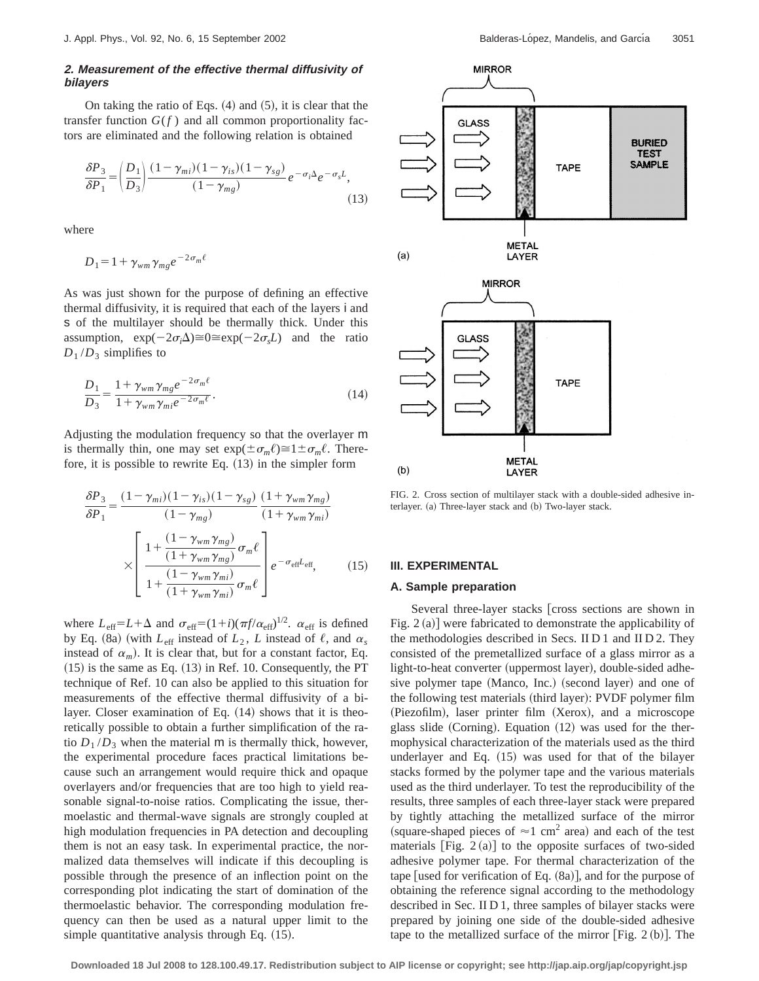## **2. Measurement of the effective thermal diffusivity of bilayers**

On taking the ratio of Eqs.  $(4)$  and  $(5)$ , it is clear that the transfer function  $G(f)$  and all common proportionality factors are eliminated and the following relation is obtained

$$
\frac{\delta P_3}{\delta P_1} = \left(\frac{D_1}{D_3}\right) \frac{(1 - \gamma_{mi})(1 - \gamma_{is})(1 - \gamma_{sg})}{(1 - \gamma_{mg})} e^{-\sigma_i \Delta} e^{-\sigma_s L},\tag{13}
$$

where

$$
D_1 = 1 + \gamma_{wm} \gamma_{mg} e^{-2\sigma_m \ell}
$$

As was just shown for the purpose of defining an effective thermal diffusivity, it is required that each of the layers i and s of the multilayer should be thermally thick. Under this assumption,  $\exp(-2\sigma_i \Delta) \cong 0 \cong \exp(-2\sigma_s L)$  and the ratio  $D_1/D_3$  simplifies to

$$
\frac{D_1}{D_3} = \frac{1 + \gamma_{wm} \gamma_{mg} e^{-2\sigma_m \ell}}{1 + \gamma_{wm} \gamma_{mi} e^{-2\sigma_m \ell}}.
$$
\n(14)

Adjusting the modulation frequency so that the overlayer m is thermally thin, one may set  $\exp(\pm \sigma_m \ell) \cong 1 \pm \sigma_m \ell$ . Therefore, it is possible to rewrite Eq.  $(13)$  in the simpler form

$$
\frac{\delta P_3}{\delta P_1} = \frac{(1 - \gamma_{mi})(1 - \gamma_{is})(1 - \gamma_{sg})}{(1 - \gamma_{mg})} \frac{(1 + \gamma_{wm}\gamma_{mg})}{(1 + \gamma_{wm}\gamma_{mi})}
$$

$$
\times \left[ \frac{1 + \frac{(1 - \gamma_{wm}\gamma_{mg})}{(1 + \gamma_{wm}\gamma_{mg})}\sigma_m \ell}{1 + \frac{(1 - \gamma_{wm}\gamma_{mi})}{(1 + \gamma_{wm}\gamma_{mi})}\sigma_m \ell} \right] e^{-\sigma_{\text{eff}}L_{\text{eff}}}, \qquad (15)
$$

where  $L_{\text{eff}} = L + \Delta$  and  $\sigma_{\text{eff}} = (1 + i)(\pi f / \alpha_{\text{eff}})^{1/2}$ .  $\alpha_{\text{eff}}$  is defined by Eq. (8a) (with  $L_{\text{eff}}$  instead of  $L_2$ ,  $L$  instead of  $\ell$ , and  $\alpha_s$ instead of  $\alpha_m$ ). It is clear that, but for a constant factor, Eq.  $(15)$  is the same as Eq.  $(13)$  in Ref. 10. Consequently, the PT technique of Ref. 10 can also be applied to this situation for measurements of the effective thermal diffusivity of a bilayer. Closer examination of Eq.  $(14)$  shows that it is theoretically possible to obtain a further simplification of the ratio  $D_1/D_3$  when the material m is thermally thick, however, the experimental procedure faces practical limitations because such an arrangement would require thick and opaque overlayers and/or frequencies that are too high to yield reasonable signal-to-noise ratios. Complicating the issue, thermoelastic and thermal-wave signals are strongly coupled at high modulation frequencies in PA detection and decoupling them is not an easy task. In experimental practice, the normalized data themselves will indicate if this decoupling is possible through the presence of an inflection point on the corresponding plot indicating the start of domination of the thermoelastic behavior. The corresponding modulation frequency can then be used as a natural upper limit to the simple quantitative analysis through Eq.  $(15)$ .



FIG. 2. Cross section of multilayer stack with a double-sided adhesive interlayer. (a) Three-layer stack and (b) Two-layer stack.

## **III. EXPERIMENTAL**

#### **A. Sample preparation**

Several three-layer stacks cross sections are shown in Fig.  $2(a)$  were fabricated to demonstrate the applicability of the methodologies described in Secs. II D 1 and II D 2. They consisted of the premetallized surface of a glass mirror as a light-to-heat converter (uppermost layer), double-sided adhesive polymer tape (Manco, Inc.) (second layer) and one of the following test materials (third layer): PVDF polymer film (Piezofilm), laser printer film (Xerox), and a microscope glass slide (Corning). Equation  $(12)$  was used for the thermophysical characterization of the materials used as the third underlayer and Eq.  $(15)$  was used for that of the bilayer stacks formed by the polymer tape and the various materials used as the third underlayer. To test the reproducibility of the results, three samples of each three-layer stack were prepared by tightly attaching the metallized surface of the mirror (square-shaped pieces of  $\approx$ 1 cm<sup>2</sup> area) and each of the test materials  $[Fig. 2 (a)]$  to the opposite surfaces of two-sided adhesive polymer tape. For thermal characterization of the tape [used for verification of Eq.  $(8a)$ ], and for the purpose of obtaining the reference signal according to the methodology described in Sec. II D 1, three samples of bilayer stacks were prepared by joining one side of the double-sided adhesive tape to the metallized surface of the mirror  $[Fig. 2 (b)].$  The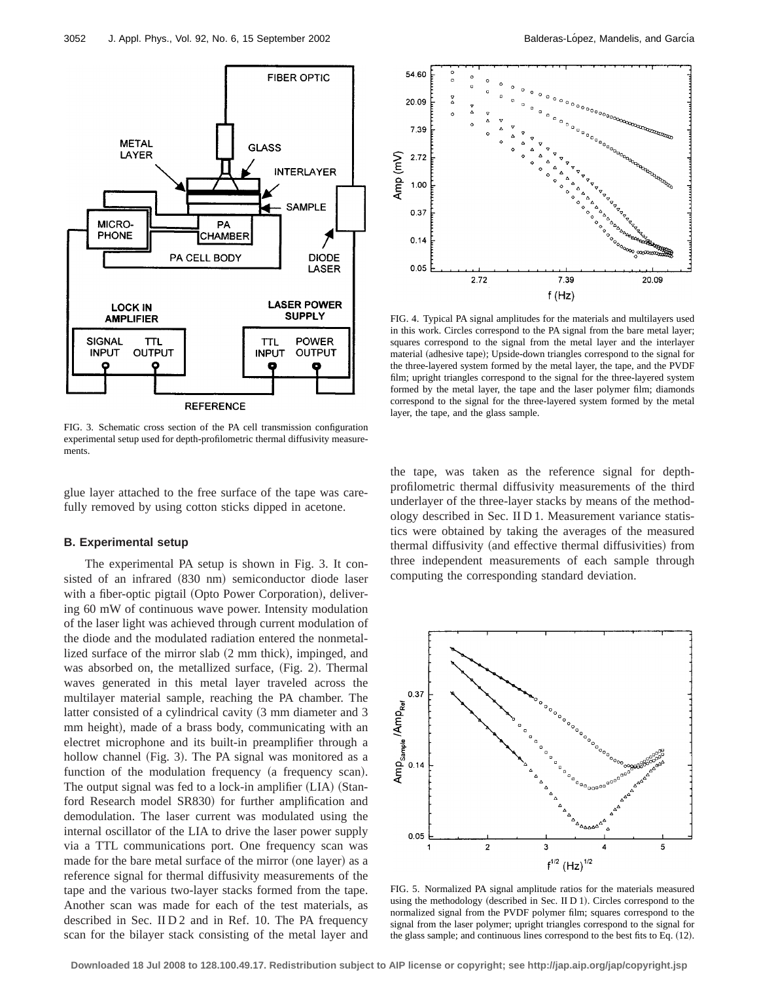

FIG. 3. Schematic cross section of the PA cell transmission configuration experimental setup used for depth-profilometric thermal diffusivity measurements.

glue layer attached to the free surface of the tape was carefully removed by using cotton sticks dipped in acetone.

#### **B. Experimental setup**

The experimental PA setup is shown in Fig. 3. It consisted of an infrared (830 nm) semiconductor diode laser with a fiber-optic pigtail (Opto Power Corporation), delivering 60 mW of continuous wave power. Intensity modulation of the laser light was achieved through current modulation of the diode and the modulated radiation entered the nonmetallized surface of the mirror slab  $(2 \text{ mm thick})$ , impinged, and was absorbed on, the metallized surface, (Fig. 2). Thermal waves generated in this metal layer traveled across the multilayer material sample, reaching the PA chamber. The latter consisted of a cylindrical cavity (3 mm diameter and 3 mm height), made of a brass body, communicating with an electret microphone and its built-in preamplifier through a hollow channel (Fig. 3). The PA signal was monitored as a function of the modulation frequency (a frequency scan). The output signal was fed to a lock-in amplifier  $(LIA)$  (Stanford Research model SR830) for further amplification and demodulation. The laser current was modulated using the internal oscillator of the LIA to drive the laser power supply via a TTL communications port. One frequency scan was made for the bare metal surface of the mirror (one layer) as a reference signal for thermal diffusivity measurements of the tape and the various two-layer stacks formed from the tape. Another scan was made for each of the test materials, as described in Sec. II D 2 and in Ref. 10. The PA frequency scan for the bilayer stack consisting of the metal layer and



FIG. 4. Typical PA signal amplitudes for the materials and multilayers used in this work. Circles correspond to the PA signal from the bare metal layer; squares correspond to the signal from the metal layer and the interlayer material (adhesive tape); Upside-down triangles correspond to the signal for the three-layered system formed by the metal layer, the tape, and the PVDF film; upright triangles correspond to the signal for the three-layered system formed by the metal layer, the tape and the laser polymer film; diamonds correspond to the signal for the three-layered system formed by the metal layer, the tape, and the glass sample.

the tape, was taken as the reference signal for depthprofilometric thermal diffusivity measurements of the third underlayer of the three-layer stacks by means of the methodology described in Sec. II D 1. Measurement variance statistics were obtained by taking the averages of the measured thermal diffusivity (and effective thermal diffusivities) from three independent measurements of each sample through computing the corresponding standard deviation.



FIG. 5. Normalized PA signal amplitude ratios for the materials measured using the methodology (described in Sec. II D 1). Circles correspond to the normalized signal from the PVDF polymer film; squares correspond to the signal from the laser polymer; upright triangles correspond to the signal for the glass sample; and continuous lines correspond to the best fits to Eq.  $(12)$ .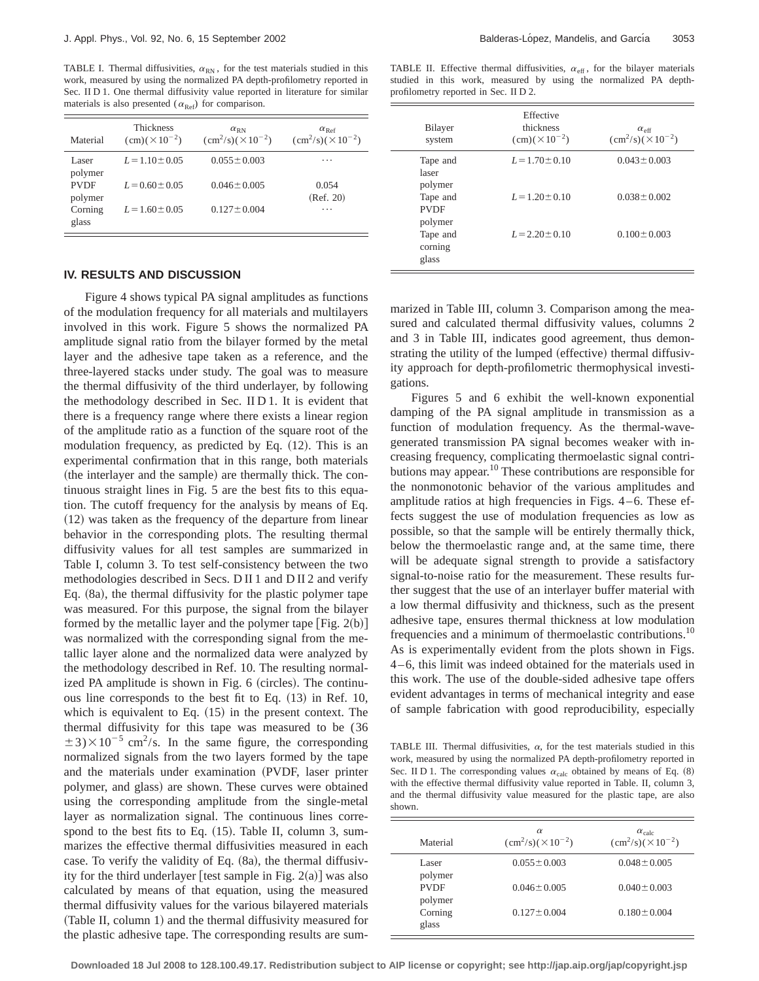TABLE I. Thermal diffusivities,  $\alpha_{RN}$ , for the test materials studied in this work, measured by using the normalized PA depth-profilometry reported in Sec. II D 1. One thermal diffusivity value reported in literature for similar materials is also presented ( $\alpha_{\text{Ref}}$ ) for comparison.

| Material               | <b>Thickness</b><br>$\text{(cm)}(\times 10^{-2})$ | $\alpha_{\rm RN}$<br>$\frac{\text{cm}^2}{\text{s}} \times 10^{-2}$ | $\alpha_{\rm Ref}$<br>$\frac{\text{cm}^2}{\text{s}} \times 10^{-2}$ |
|------------------------|---------------------------------------------------|--------------------------------------------------------------------|---------------------------------------------------------------------|
| Laser<br>polymer       | $L = 1.10 \pm 0.05$                               | $0.055 \pm 0.003$                                                  | $\cdots$                                                            |
| <b>PVDF</b><br>polymer | $L = 0.60 \pm 0.05$                               | $0.046 \pm 0.005$                                                  | 0.054<br>(Ref. 20)                                                  |
| Corning<br>glass       | $L = 1.60 \pm 0.05$                               | $0.127 \pm 0.004$                                                  | .                                                                   |

## **IV. RESULTS AND DISCUSSION**

Figure 4 shows typical PA signal amplitudes as functions of the modulation frequency for all materials and multilayers involved in this work. Figure 5 shows the normalized PA amplitude signal ratio from the bilayer formed by the metal layer and the adhesive tape taken as a reference, and the three-layered stacks under study. The goal was to measure the thermal diffusivity of the third underlayer, by following the methodology described in Sec. II D 1. It is evident that there is a frequency range where there exists a linear region of the amplitude ratio as a function of the square root of the modulation frequency, as predicted by Eq.  $(12)$ . This is an experimental confirmation that in this range, both materials (the interlayer and the sample) are thermally thick. The continuous straight lines in Fig. 5 are the best fits to this equation. The cutoff frequency for the analysis by means of Eq.  $(12)$  was taken as the frequency of the departure from linear behavior in the corresponding plots. The resulting thermal diffusivity values for all test samples are summarized in Table I, column 3. To test self-consistency between the two methodologies described in Secs. D II 1 and D II 2 and verify Eq.  $(8a)$ , the thermal diffusivity for the plastic polymer tape was measured. For this purpose, the signal from the bilayer formed by the metallic layer and the polymer tape  $|Fig. 2(b)|$ was normalized with the corresponding signal from the metallic layer alone and the normalized data were analyzed by the methodology described in Ref. 10. The resulting normalized PA amplitude is shown in Fig. 6 (circles). The continuous line corresponds to the best fit to Eq.  $(13)$  in Ref. 10, which is equivalent to Eq.  $(15)$  in the present context. The thermal diffusivity for this tape was measured to be (36  $\pm$ 3)×10<sup>-5</sup> cm<sup>2</sup>/s. In the same figure, the corresponding normalized signals from the two layers formed by the tape and the materials under examination (PVDF, laser printer polymer, and glass) are shown. These curves were obtained using the corresponding amplitude from the single-metal layer as normalization signal. The continuous lines correspond to the best fits to Eq.  $(15)$ . Table II, column 3, summarizes the effective thermal diffusivities measured in each case. To verify the validity of Eq.  $(8a)$ , the thermal diffusivity for the third underlayer [test sample in Fig.  $2(a)$ ] was also calculated by means of that equation, using the measured thermal diffusivity values for the various bilayered materials (Table II, column 1) and the thermal diffusivity measured for the plastic adhesive tape. The corresponding results are sum-

TABLE II. Effective thermal diffusivities,  $\alpha_{\text{eff}}$ , for the bilayer materials studied in this work, measured by using the normalized PA depthprofilometry reported in Sec. II D 2.

| Bilayer<br>system                  | Effective<br>thickness<br>$\text{(cm)}(\times 10^{-2})$ | $\alpha_{\text{eff}}$<br>$\frac{\text{cm}^2}{\text{s}} \times 10^{-2}$ |
|------------------------------------|---------------------------------------------------------|------------------------------------------------------------------------|
| Tape and<br>laser<br>polymer       | $L = 1.70 \pm 0.10$                                     | $0.043 \pm 0.003$                                                      |
| Tape and<br><b>PVDF</b><br>polymer | $L = 1.20 \pm 0.10$                                     | $0.038 \pm 0.002$                                                      |
| Tape and<br>corning<br>glass       | $L = 2.20 \pm 0.10$                                     | $0.100 \pm 0.003$                                                      |

marized in Table III, column 3. Comparison among the measured and calculated thermal diffusivity values, columns 2 and 3 in Table III, indicates good agreement, thus demonstrating the utility of the lumped (effective) thermal diffusivity approach for depth-profilometric thermophysical investigations.

Figures 5 and 6 exhibit the well-known exponential damping of the PA signal amplitude in transmission as a function of modulation frequency. As the thermal-wavegenerated transmission PA signal becomes weaker with increasing frequency, complicating thermoelastic signal contributions may appear.<sup>10</sup> These contributions are responsible for the nonmonotonic behavior of the various amplitudes and amplitude ratios at high frequencies in Figs. 4–6. These effects suggest the use of modulation frequencies as low as possible, so that the sample will be entirely thermally thick, below the thermoelastic range and, at the same time, there will be adequate signal strength to provide a satisfactory signal-to-noise ratio for the measurement. These results further suggest that the use of an interlayer buffer material with a low thermal diffusivity and thickness, such as the present adhesive tape, ensures thermal thickness at low modulation frequencies and a minimum of thermoelastic contributions.<sup>10</sup> As is experimentally evident from the plots shown in Figs. 4–6, this limit was indeed obtained for the materials used in this work. The use of the double-sided adhesive tape offers evident advantages in terms of mechanical integrity and ease of sample fabrication with good reproducibility, especially

TABLE III. Thermal diffusivities,  $\alpha$ , for the test materials studied in this work, measured by using the normalized PA depth-profilometry reported in Sec. II D 1. The corresponding values  $\alpha_{\text{calc}}$  obtained by means of Eq. (8) with the effective thermal diffusivity value reported in Table. II, column 3, and the thermal diffusivity value measured for the plastic tape, are also shown.

| Material               | $\alpha$<br>$\frac{\text{cm}^2}{\text{s}} \times 10^{-2}$ | $\alpha_{\rm calc}$<br>$\frac{\text{cm}^2}{\text{s}} \times 10^{-2}$ |
|------------------------|-----------------------------------------------------------|----------------------------------------------------------------------|
| Laser<br>polymer       | $0.055 \pm 0.003$                                         | $0.048 \pm 0.005$                                                    |
| <b>PVDF</b><br>polymer | $0.046 \pm 0.005$                                         | $0.040 \pm 0.003$                                                    |
| Corning<br>glass       | $0.127 \pm 0.004$                                         | $0.180 \pm 0.004$                                                    |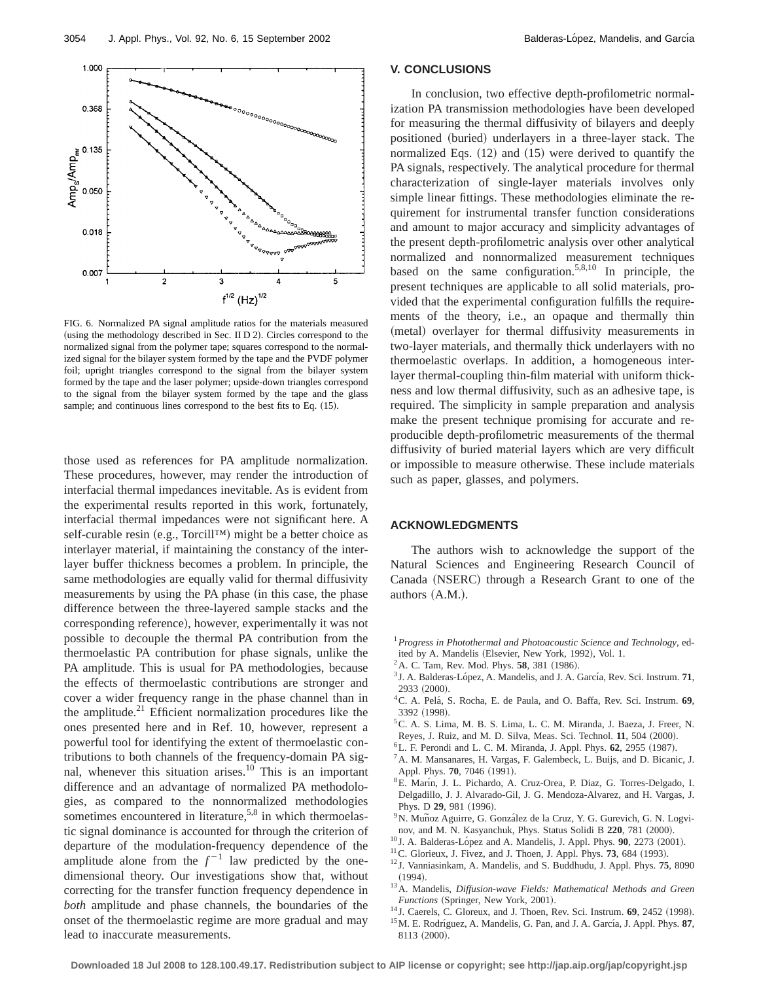

FIG. 6. Normalized PA signal amplitude ratios for the materials measured (using the methodology described in Sec. II  $D$  2). Circles correspond to the normalized signal from the polymer tape; squares correspond to the normalized signal for the bilayer system formed by the tape and the PVDF polymer foil; upright triangles correspond to the signal from the bilayer system formed by the tape and the laser polymer; upside-down triangles correspond to the signal from the bilayer system formed by the tape and the glass sample; and continuous lines correspond to the best fits to Eq.  $(15)$ .

3

 $f^{1/2}$  (Hz)<sup>1/2</sup>

 $\overline{a}$ 

 $\overline{c}$ 

5

0.007

those used as references for PA amplitude normalization. These procedures, however, may render the introduction of interfacial thermal impedances inevitable. As is evident from the experimental results reported in this work, fortunately, interfacial thermal impedances were not significant here. A self-curable resin (e.g., Torcill™) might be a better choice as interlayer material, if maintaining the constancy of the interlayer buffer thickness becomes a problem. In principle, the same methodologies are equally valid for thermal diffusivity measurements by using the PA phase (in this case, the phase difference between the three-layered sample stacks and the corresponding reference), however, experimentally it was not possible to decouple the thermal PA contribution from the thermoelastic PA contribution for phase signals, unlike the PA amplitude. This is usual for PA methodologies, because the effects of thermoelastic contributions are stronger and cover a wider frequency range in the phase channel than in the amplitude. $21$  Efficient normalization procedures like the ones presented here and in Ref. 10, however, represent a powerful tool for identifying the extent of thermoelastic contributions to both channels of the frequency-domain PA signal, whenever this situation arises.<sup>10</sup> This is an important difference and an advantage of normalized PA methodologies, as compared to the nonnormalized methodologies sometimes encountered in literature,<sup>5,8</sup> in which thermoelastic signal dominance is accounted for through the criterion of departure of the modulation-frequency dependence of the amplitude alone from the  $f^{-1}$  law predicted by the onedimensional theory. Our investigations show that, without correcting for the transfer function frequency dependence in *both* amplitude and phase channels, the boundaries of the onset of the thermoelastic regime are more gradual and may lead to inaccurate measurements.

#### **V. CONCLUSIONS**

In conclusion, two effective depth-profilometric normalization PA transmission methodologies have been developed for measuring the thermal diffusivity of bilayers and deeply positioned (buried) underlayers in a three-layer stack. The normalized Eqs.  $(12)$  and  $(15)$  were derived to quantify the PA signals, respectively. The analytical procedure for thermal characterization of single-layer materials involves only simple linear fittings. These methodologies eliminate the requirement for instrumental transfer function considerations and amount to major accuracy and simplicity advantages of the present depth-profilometric analysis over other analytical normalized and nonnormalized measurement techniques based on the same configuration.<sup>5,8,10</sup> In principle, the present techniques are applicable to all solid materials, provided that the experimental configuration fulfills the requirements of the theory, i.e., an opaque and thermally thin (metal) overlayer for thermal diffusivity measurements in two-layer materials, and thermally thick underlayers with no thermoelastic overlaps. In addition, a homogeneous interlayer thermal-coupling thin-film material with uniform thickness and low thermal diffusivity, such as an adhesive tape, is required. The simplicity in sample preparation and analysis make the present technique promising for accurate and reproducible depth-profilometric measurements of the thermal diffusivity of buried material layers which are very difficult or impossible to measure otherwise. These include materials such as paper, glasses, and polymers.

### **ACKNOWLEDGMENTS**

The authors wish to acknowledge the support of the Natural Sciences and Engineering Research Council of Canada (NSERC) through a Research Grant to one of the authors  $(A.M.).$ 

- <sup>1</sup>*Progress in Photothermal and Photoacoustic Science and Technology*, edited by A. Mandelis (Elsevier, New York, 1992), Vol. 1.
- $2$  A. C. Tam, Rev. Mod. Phys. **58**, 381 (1986).
- <sup>3</sup> J. A. Balderas-López, A. Mandelis, and J. A. García, Rev. Sci. Instrum. **71**, 2933 (2000).
- 4C. A. Pela´, S. Rocha, E. de Paula, and O. Baffa, Rev. Sci. Instrum. **69**, 3392 (1998).
- 5C. A. S. Lima, M. B. S. Lima, L. C. M. Miranda, J. Baeza, J. Freer, N.
- Reyes, J. Ruiz, and M. D. Silva, Meas. Sci. Technol. **11**, 504 (2000).
- <sup>6</sup>L. F. Perondi and L. C. M. Miranda, J. Appl. Phys. **62**, 2955 (1987).
- 7A. M. Mansanares, H. Vargas, F. Galembeck, L. Buijs, and D. Bicanic, J. Appl. Phys. **70**, 7046 (1991).
- <sup>8</sup>E. Marín, J. L. Pichardo, A. Cruz-Orea, P. Diaz, G. Torres-Delgado, I. Delgadillo, J. J. Alvarado-Gil, J. G. Mendoza-Alvarez, and H. Vargas, J. Phys. D 29, 981 (1996).<br><sup>9</sup>N. Muñoz Aguirre, G. González de la Cruz, Y. G. Gurevich, G. N. Logvi-
- nov, and M. N. Kasyanchuk, Phys. Status Solidi B 220, 781 (2000).
- $^{10}$  J. A. Balderas-López and A. Mandelis, J. Appl. Phys. **90**, 2273 (2001).
- $11$ <sup>C</sup>. Glorieux, J. Fivez, and J. Thoen, J. Appl. Phys. **73**, 684 (1993).
- <sup>12</sup> J. Vanniasinkam, A. Mandelis, and S. Buddhudu, J. Appl. Phys. **75**, 8090  $(1994).$
- 13A. Mandelis, *Diffusion-wave Fields: Mathematical Methods and Green Functions* (Springer, New York, 2001).
- $14$  J. Caerels, C. Gloreux, and J. Thoen, Rev. Sci. Instrum.  $69$ , 2452 (1998).
- <sup>15</sup> M. E. Rodríguez, A. Mandelis, G. Pan, and J. A. García, J. Appl. Phys. 87, 8113 (2000).